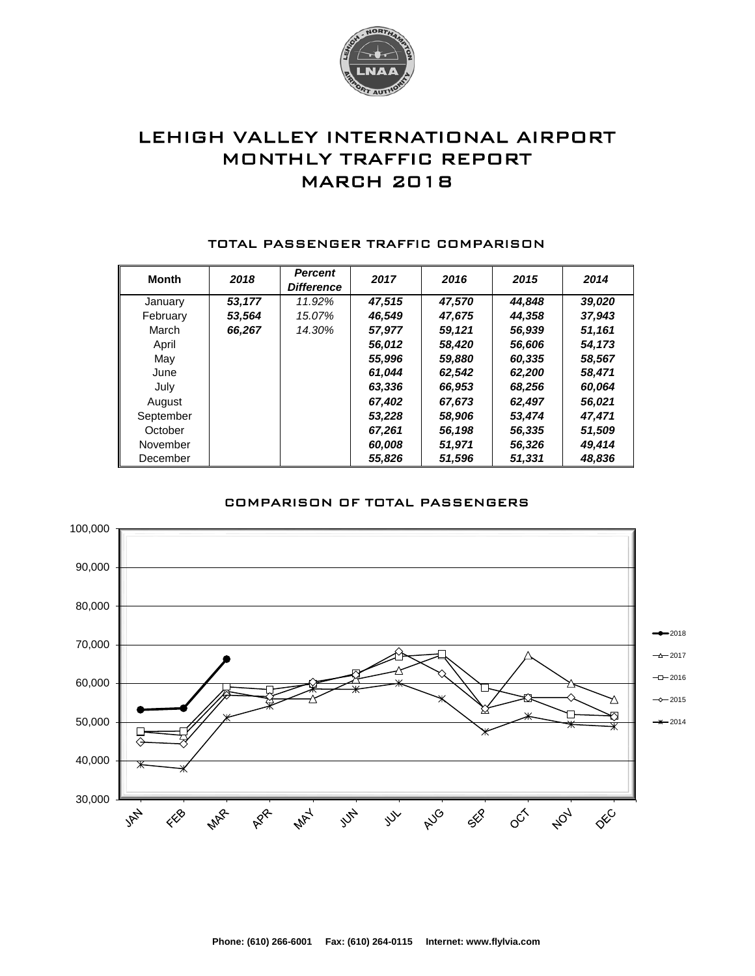

# LEHIGH VALLEY INTERNATIONAL AIRPORT MONTHLY TRAFFIC REPORT MARCH 2018

| <b>Month</b> | 2018   | <b>Percent</b><br><b>Difference</b> | 2017   | 2016   | 2015   | 2014   |
|--------------|--------|-------------------------------------|--------|--------|--------|--------|
| January      | 53.177 | 11.92%                              | 47.515 | 47,570 | 44.848 | 39,020 |
| February     | 53,564 | 15.07%                              | 46,549 | 47,675 | 44,358 | 37,943 |
| March        | 66,267 | 14.30%                              | 57,977 | 59,121 | 56,939 | 51,161 |
| April        |        |                                     | 56,012 | 58,420 | 56,606 | 54,173 |
| May          |        |                                     | 55,996 | 59,880 | 60.335 | 58,567 |
| June         |        |                                     | 61,044 | 62,542 | 62,200 | 58,471 |
| July         |        |                                     | 63,336 | 66,953 | 68,256 | 60,064 |
| August       |        |                                     | 67.402 | 67,673 | 62,497 | 56,021 |
| September    |        |                                     | 53,228 | 58,906 | 53.474 | 47,471 |
| October      |        |                                     | 67,261 | 56,198 | 56,335 | 51,509 |
| November     |        |                                     | 60.008 | 51,971 | 56,326 | 49.414 |
| December     |        |                                     | 55,826 | 51,596 | 51,331 | 48,836 |

#### TOTAL PASSENGER TRAFFIC COMPARISON

### COMPARISON OF TOTAL PASSENGERS

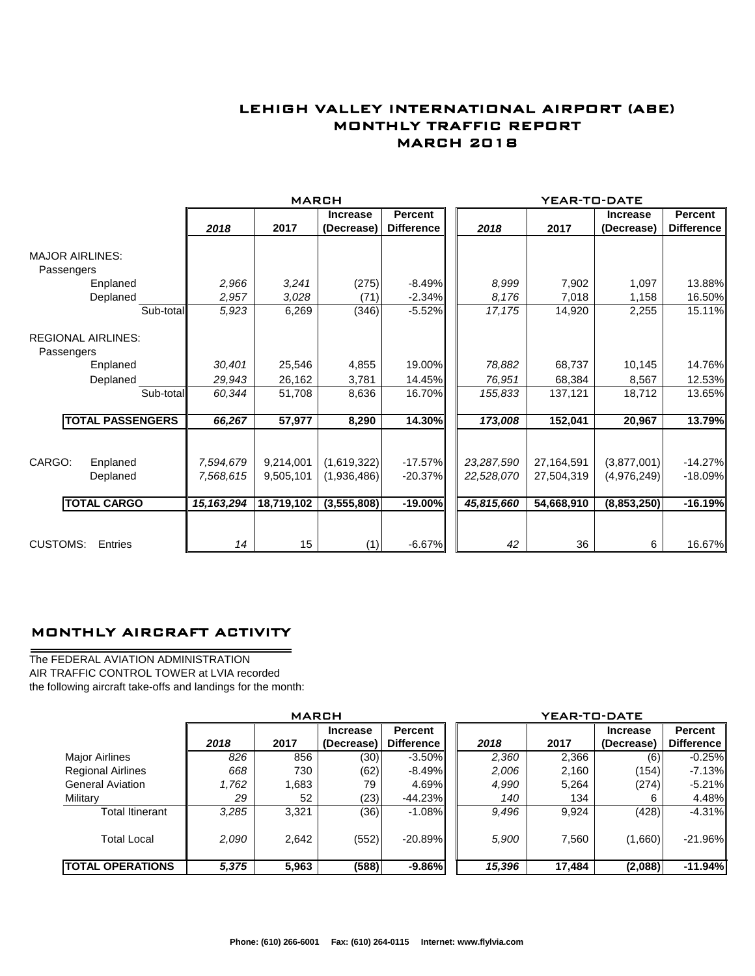## LEHIGH VALLEY INTERNATIONAL AIRPORT (ABE) MONTHLY TRAFFIC REPORT MARCH 2018

|                                         |                         |                         | <b>MARCH</b> |                 |                   |            |       | YEAR-TO-DATE |                 |                   |
|-----------------------------------------|-------------------------|-------------------------|--------------|-----------------|-------------------|------------|-------|--------------|-----------------|-------------------|
|                                         |                         |                         |              | <b>Increase</b> | <b>Percent</b>    |            |       |              | <b>Increase</b> | <b>Percent</b>    |
|                                         |                         | 2018                    | 2017         | (Decrease)      | <b>Difference</b> | 2018       |       | 2017         | (Decrease)      | <b>Difference</b> |
| <b>MAJOR AIRLINES:</b>                  |                         |                         |              |                 |                   |            |       |              |                 |                   |
| Passengers                              |                         |                         |              |                 |                   |            |       |              |                 |                   |
|                                         | Enplaned                | 2,966                   | 3,241        | (275)           | $-8.49\%$         |            | 8,999 | 7,902        | 1,097           | 13.88%            |
|                                         | Deplaned                | 2,957                   | 3,028        | (71)            | $-2.34%$          |            | 8.176 | 7,018        | 1,158           | 16.50%            |
|                                         | Sub-total               | 5,923                   | 6,269        | (346)           | $-5.52%$          | 17,175     |       | 14,920       | 2,255           | 15.11%            |
| <b>REGIONAL AIRLINES:</b><br>Passengers |                         |                         |              |                 |                   |            |       |              |                 |                   |
|                                         | Enplaned                | 30,401                  | 25,546       | 4,855           | 19.00%            | 78,882     |       | 68,737       | 10,145          | 14.76%            |
|                                         | Deplaned                | 29,943                  | 26,162       | 3,781           | 14.45%            | 76,951     |       | 68,384       | 8,567           | 12.53%            |
|                                         | Sub-total               | 60,344                  | 51,708       | 8,636           | 16.70%            | 155,833    |       | 137,121      | 18,712          | 13.65%            |
|                                         | <b>TOTAL PASSENGERS</b> | 66,267                  | 57,977       | 8,290           | 14.30%            | 173,008    |       | 152,041      | 20,967          | 13.79%            |
|                                         |                         |                         |              |                 |                   |            |       |              |                 |                   |
| CARGO:                                  | Enplaned                | 7,594,679               | 9,214,001    | (1,619,322)     | $-17.57\%$        | 23,287,590 |       | 27,164,591   | (3,877,001)     | $-14.27%$         |
|                                         | Deplaned                | 7,568,615               | 9,505,101    | (1,936,486)     | $-20.37%$         | 22,528,070 |       | 27,504,319   | (4,976,249)     | $-18.09%$         |
|                                         | <b>TOTAL CARGO</b>      | $\overline{15,163,294}$ | 18,719,102   | (3,555,808)     | $-19.00\%$        | 45,815,660 |       | 54,668,910   | (8,853,250)     | $-16.19%$         |
|                                         |                         |                         |              |                 |                   |            |       |              |                 |                   |
| <b>CUSTOMS:</b>                         | Entries                 | 14                      | 15           | (1)             | $-6.67%$          |            | 42    | 36           | 6               | 16.67%            |

### MONTHLY AIRCRAFT ACTIVITY

The FEDERAL AVIATION ADMINISTRATION AIR TRAFFIC CONTROL TOWER at LVIA recorded the following aircraft take-offs and landings for the month:

 $\overline{\phantom{0}}$ 

|                          | <b>MARCH</b> |       |                 |                   |  | YEAR-TO-DATE |        |                 |                   |  |  |
|--------------------------|--------------|-------|-----------------|-------------------|--|--------------|--------|-----------------|-------------------|--|--|
|                          |              |       | <b>Increase</b> | Percent           |  |              |        | <b>Increase</b> | Percent           |  |  |
|                          | 2018         | 2017  | (Decrease)      | <b>Difference</b> |  | 2018         | 2017   | (Decrease)      | <b>Difference</b> |  |  |
| <b>Major Airlines</b>    | 826          | 856   | (30)            | $-3.50\%$         |  | 2,360        | 2,366  | (6)             | $-0.25\%$         |  |  |
| <b>Regional Airlines</b> | 668          | 730   | (62)            | $-8.49\%$         |  | 2,006        | 2,160  | (154)           | $-7.13\%$         |  |  |
| <b>General Aviation</b>  | 1,762        | 1,683 | 79              | 4.69%             |  | 4,990        | 5,264  | (274)           | $-5.21%$          |  |  |
| Military                 | 29           | 52    | (23)            | $-44.23\%$        |  | 140          | 134    |                 | 4.48%II           |  |  |
| <b>Total Itinerant</b>   | 3,285        | 3,321 | (36)            | $-1.08\%$         |  | 9,496        | 9,924  | (428)           | $-4.31\%$         |  |  |
| <b>Total Local</b>       | 2,090        | 2,642 | (552)           | $-20.89\%$        |  | 5,900        | 7.560  | (1,660)         | $-21.96\%$        |  |  |
| <b>TOTAL OPERATIONS</b>  | 5,375        | 5,963 | (588)           | $-9.86\%$         |  | 15,396       | 17,484 | (2,088)         | $-11.94%$         |  |  |